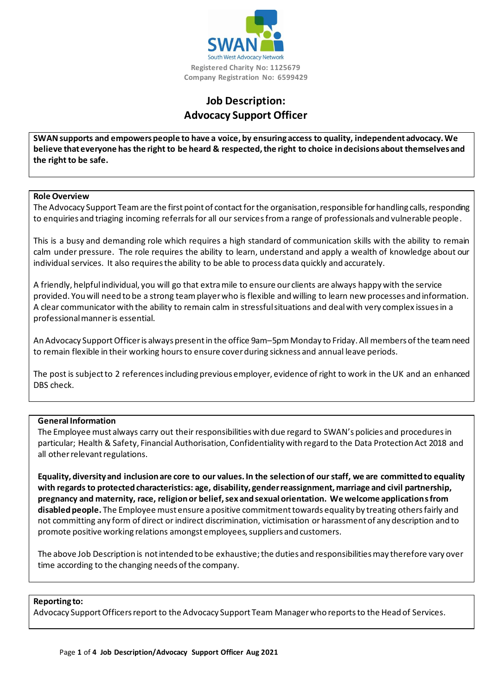

# **Job Description: Advocacy Support Officer**

**SWAN supports and empowers people to have a voice, by ensuring access to quality, independent advocacy. We believe that everyone has the right to be heard & respected, the right to choice in decisions about themselves and the right to be safe.**

#### **Role Overview**

The Advocacy Support Team are the first point of contact forthe organisation, responsible for handling calls, responding to enquiries and triaging incoming referrals for all our services from a range of professionals and vulnerable people.

This is a busy and demanding role which requires a high standard of communication skills with the ability to remain calm under pressure. The role requires the ability to learn, understand and apply a wealth of knowledge about our individual services. It also requires the ability to be able to process data quickly and accurately.

A friendly, helpful individual, you will go that extra mile to ensure our clients are always happy with the service provided. You will need to be a strong team player who is flexible and willing to learn new processes and information. A clear communicator with the ability to remain calm in stressful situations and deal with very complex issues in a professional manner is essential.

An Advocacy SupportOfficeris always present in the office 9am–5pm Monday to Friday. All members of the team need to remain flexible in their working hours to ensure cover during sickness and annual leave periods.

The post is subject to 2 references including previous employer, evidence of right to work in the UK and an enhanced DBS check.

### **General Information**

The Employee must always carry out their responsibilities with due regard to SWAN's policies and procedures in particular; Health & Safety, Financial Authorisation, Confidentiality with regard to the Data Protection Act 2018 and all other relevant regulations.

**Equality, diversity and inclusion are core to our values. In the selection of our staff, we are committed to equality with regards to protected characteristics: age, disability, gender reassignment, marriage and civil partnership, pregnancy and maternity, race, religion or belief, sex and sexual orientation. We welcome applications from disabled people.** The Employee must ensure a positive commitment towards equality by treating others fairly and not committing any form of direct or indirect discrimination, victimisation or harassment of any description and to promote positive working relations amongst employees, suppliers and customers.

The above Job Description is not intended to be exhaustive; the duties and responsibilities may therefore vary over time according to the changing needs of the company.

#### **Reporting to:**

Advocacy Support Officers report to the Advocacy Support Team Managerwho reports to the Head of Services.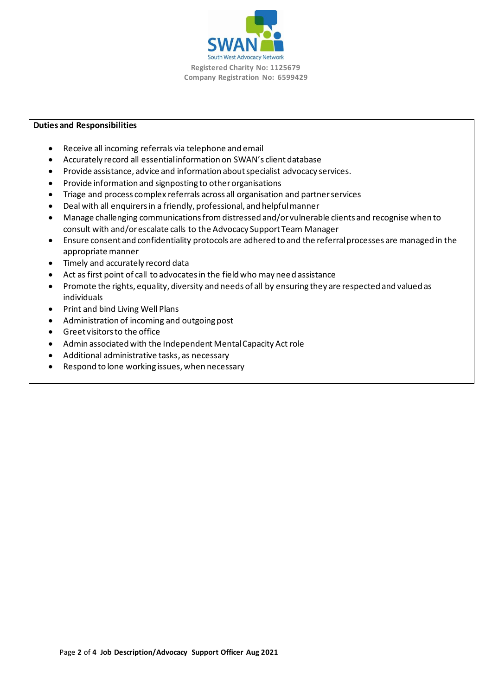

### **Duties and Responsibilities**

- Receive all incoming referrals via telephone and email
- Accurately record all essential information on SWAN's client database
- Provide assistance, advice and information about specialist advocacy services.
- Provide information and signposting to other organisations
- Triage and process complex referrals across all organisation and partner services
- Deal with all enquirers in a friendly, professional, and helpful manner
- Manage challenging communications from distressed and/or vulnerable clients and recognise when to consult with and/or escalate calls to the Advocacy Support Team Manager
- Ensure consent and confidentiality protocols are adhered to and the referral processes are managed in the appropriate manner
- Timely and accurately record data
- Act as first point of call to advocates in the field who may need assistance
- Promote the rights, equality, diversity and needs of all by ensuring they are respected and valued as individuals
- Print and bind Living Well Plans
- Administration of incoming and outgoing post
- Greet visitors to the office
- Admin associated with the Independent Mental Capacity Act role
- Additional administrative tasks, as necessary
- Respond to lone working issues, when necessary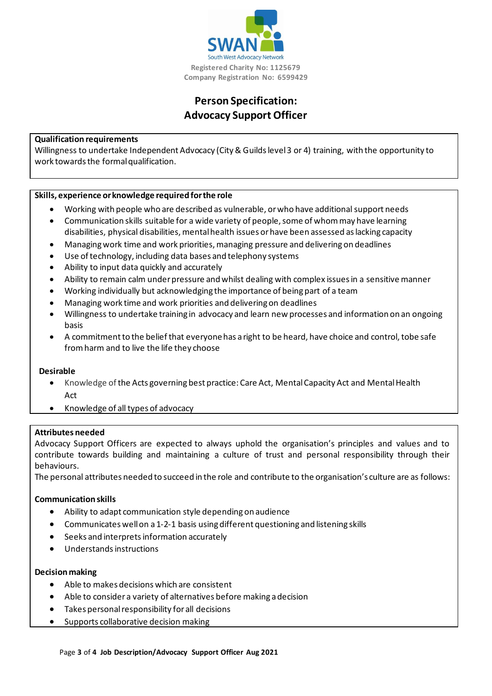

# **Person Specification: Advocacy Support Officer**

### **Qualification requirements**

Willingness to undertake Independent Advocacy (City & Guilds level 3 or 4) training, with the opportunity to work towards the formal qualification.

## **Skills, experience or knowledge required for the role**

- Working with people who are described as vulnerable, orwho have additionalsupport needs
- Communication skills suitable for a wide variety of people, some of whom may have learning
- disabilities, physical disabilities, mentalhealth issues orhave been assessed aslacking capacity
- Managingwork time and work priorities,managing pressure and delivering on deadlines
- Use of technology, including data bases and telephony systems
- Ability to input data quickly and accurately
- Ability to remain calm under pressure and whilst dealing with complex issues in a sensitive manner
- Working individually but acknowledging the importance of being part of a team
- Managing work time and work priorities and delivering on deadlines
- Willingness to undertake training in advocacy and learn new processes and information on an ongoing basis
- A commitment to the belief that everyone has a right to be heard, have choice and control, tobe safe fromharm and to live the life they choose

### **Desirable**

- Knowledge of the Acts governing best practice: Care Act, Mental Capacity Act and Mental Health Act
- Knowledge of all types of advocacy

### **Attributes needed**

Advocacy Support Officers are expected to always uphold the organisation's principles and values and to contribute towards building and maintaining a culture of trust and personal responsibility through their behaviours.

The personal attributes needed to succeed in the role and contribute to the organisation's culture are as follows:

### **Communication skills**

- Ability to adapt communication style depending on audience
- Communicates wellon a1-2-1 basis using different questioning and listening skills
- Seeks and interpretsinformation accurately
- Understandsinstructions

### **Decision making**

- Able to makes decisions which are consistent
- Able to consider a variety of alternatives before making a decision
- Takes personal responsibility for all decisions
- Supports collaborative decision making